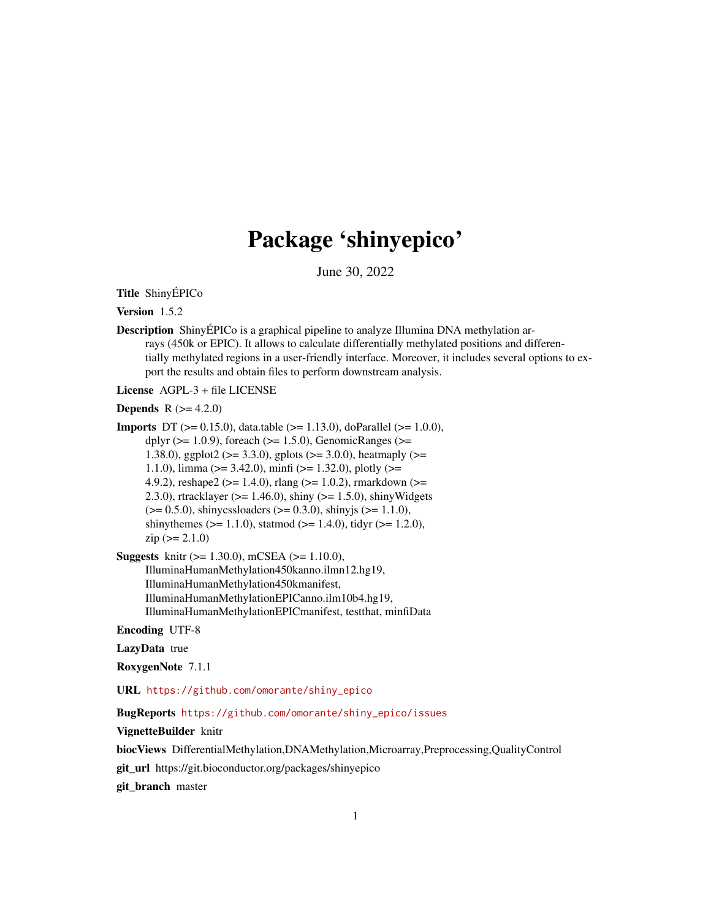## Package 'shinyepico'

June 30, 2022

Title ShinyÉPICo

Version 1.5.2

Description ShinyÉPICo is a graphical pipeline to analyze Illumina DNA methylation arrays (450k or EPIC). It allows to calculate differentially methylated positions and differentially methylated regions in a user-friendly interface. Moreover, it includes several options to export the results and obtain files to perform downstream analysis.

License AGPL-3 + file LICENSE

**Depends**  $R (= 4.2.0)$ 

**Imports** DT ( $> = 0.15.0$ ), data.table ( $> = 1.13.0$ ), doParallel ( $> = 1.0.0$ ), dplyr ( $>= 1.0.9$ ), foreach ( $>= 1.5.0$ ), GenomicRanges ( $>=$ 1.38.0), ggplot2 ( $> = 3.3.0$ ), gplots ( $> = 3.0.0$ ), heatmaply ( $> =$ 1.1.0), limma ( $> = 3.42.0$ ), minfi ( $> = 1.32.0$ ), plotly ( $> =$ 4.9.2), reshape2 ( $>= 1.4.0$ ), rlang ( $>= 1.0.2$ ), rmarkdown ( $>= 1.4.0$ ) 2.3.0), rtracklayer ( $>= 1.46.0$ ), shiny ( $>= 1.5.0$ ), shinyWidgets  $(>= 0.5.0)$ , shinycssloaders  $(>= 0.3.0)$ , shinyjs  $(>= 1.1.0)$ , shinythemes ( $> = 1.1.0$ ), statmod ( $> = 1.4.0$ ), tidyr ( $> = 1.2.0$ ),  $zip (> = 2.1.0)$ 

Suggests knitr (>= 1.30.0), mCSEA (>= 1.10.0), IlluminaHumanMethylation450kanno.ilmn12.hg19, IlluminaHumanMethylation450kmanifest, IlluminaHumanMethylationEPICanno.ilm10b4.hg19, IlluminaHumanMethylationEPICmanifest, testthat, minfiData

Encoding UTF-8

LazyData true

RoxygenNote 7.1.1

URL [https://github.com/omorante/shiny\\_epico](https://github.com/omorante/shiny_epico)

BugReports [https://github.com/omorante/shiny\\_epico/issues](https://github.com/omorante/shiny_epico/issues)

VignetteBuilder knitr

biocViews DifferentialMethylation,DNAMethylation,Microarray,Preprocessing,QualityControl

git\_url https://git.bioconductor.org/packages/shinyepico

git\_branch master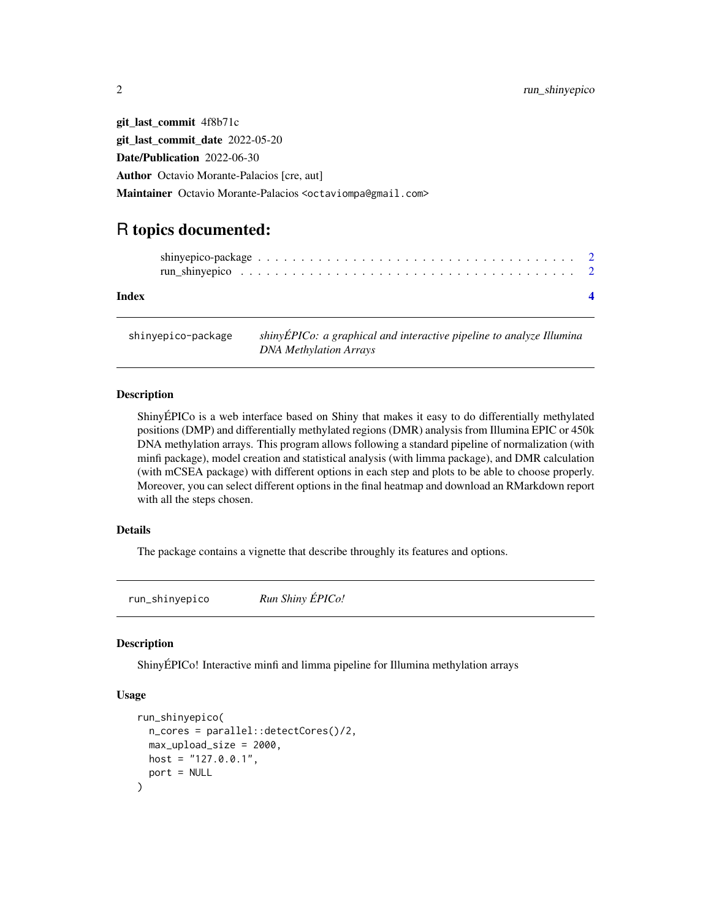git\_last\_commit 4f8b71c git\_last\_commit\_date 2022-05-20 Date/Publication 2022-06-30 Author Octavio Morante-Palacios [cre, aut] Maintainer Octavio Morante-Palacios <octaviompa@gmail.com>

### R topics documented:

| Index |  |  |  |  |  |  |  |  |  |  |  |  |  |  |  |  |
|-------|--|--|--|--|--|--|--|--|--|--|--|--|--|--|--|--|

shinyepico-package *shinyÉPICo: a graphical and interactive pipeline to analyze Illumina DNA Methylation Arrays*

#### Description

ShinyÉPICo is a web interface based on Shiny that makes it easy to do differentially methylated positions (DMP) and differentially methylated regions (DMR) analysis from Illumina EPIC or 450k DNA methylation arrays. This program allows following a standard pipeline of normalization (with minfi package), model creation and statistical analysis (with limma package), and DMR calculation (with mCSEA package) with different options in each step and plots to be able to choose properly. Moreover, you can select different options in the final heatmap and download an RMarkdown report with all the steps chosen.

#### Details

The package contains a vignette that describe throughly its features and options.

run\_shinyepico *Run Shiny ÉPICo!*

#### **Description**

ShinyÉPICo! Interactive minfi and limma pipeline for Illumina methylation arrays

#### Usage

```
run_shinyepico(
  n_cores = parallel::detectCores()/2,
 max_upload_size = 2000,
 host = "127.0.0.1",
  port = NULL
)
```
<span id="page-1-0"></span>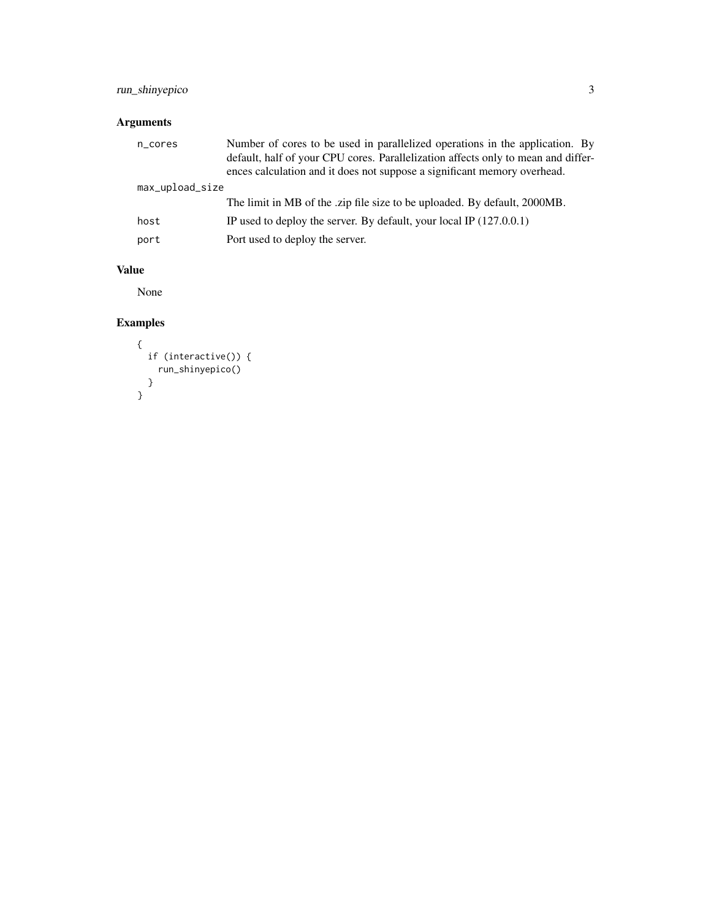#### run\_shinyepico 3

#### Arguments

| n_cores         | Number of cores to be used in parallelized operations in the application. By<br>default, half of your CPU cores. Parallelization affects only to mean and differ-<br>ences calculation and it does not suppose a significant memory overhead. |
|-----------------|-----------------------------------------------------------------------------------------------------------------------------------------------------------------------------------------------------------------------------------------------|
| max_upload_size |                                                                                                                                                                                                                                               |
|                 | The limit in MB of the zip file size to be uploaded. By default, 2000MB.                                                                                                                                                                      |
| host            | IP used to deploy the server. By default, your local IP $(127.0.0.1)$                                                                                                                                                                         |
| port            | Port used to deploy the server.                                                                                                                                                                                                               |

#### Value

None

#### Examples

```
\{if (interactive()) {
   run_shinyepico()
 }
}
```